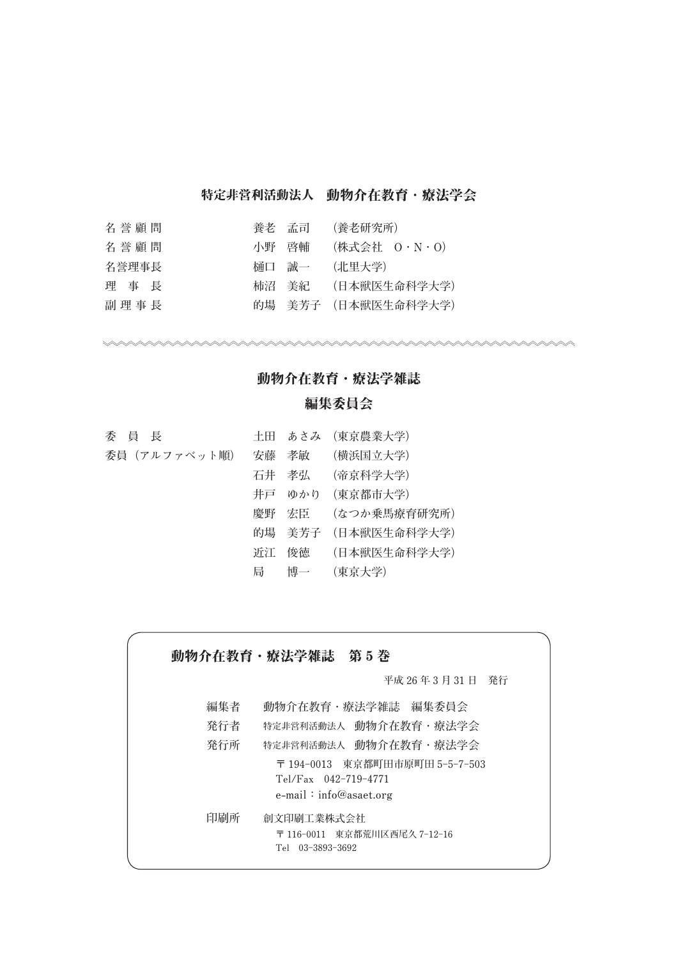# 特定非営利活動法人 動物介存教育 · 療法学会

| 名誉顧問  | 養老 孟司 |       | (養老研究所)             |
|-------|-------|-------|---------------------|
| 名誉顧問  | 小野 啓輔 |       | (株式会社 0・N・0)        |
| 名誉理事長 |       | 桶口 誠一 | (北里大学)              |
| 理事長   |       |       | 柿沼 美紀  (日本獣医生命科学大学) |
| 副理事長  |       |       | 的場 美芳子 (日本獣医生命科学大学) |

## 動物介在教育・療法学雑誌

## 編集委員会

| 委員長          |   | 土田 あさみ (東京農業大学)     |
|--------------|---|---------------------|
| 委員(アルファベット順) |   | 安藤 孝敏 (横浜国立大学)      |
|              |   | 石井 孝弘  (帝京科学大学)     |
|              |   | 井戸 ゆかり (東京都市大学)     |
|              |   | 慶野 宏臣  (なつか乗馬療育研究所) |
|              |   | 的場 美芳子 (日本獣医生命科学大学) |
|              |   | 近江 俊徳  (日本獣医生命科学大学) |
|              | 局 | 博一 (東京大学)           |

 動物介在教育・療法学雑誌 第 **5** 巻 **平成 26 年 3 月 31 日 発行 編集者 動物介在教育・療法学雑誌 編集委員会 発行者 特定非営利活動法人 動物介在教育・療法学会 発行所 特定非営利活動法人 動物介在教育・療法学会 〒 194-0013 東京都町田市原町田 5-5-7-503 Tel/Fax 042-719-4771 e-mail:info@asaet.org 印刷所 創文印刷工業株式会社 〒 116-0011 東京都荒川区西尾久 7-12-16 Tel 03-3893-3692**